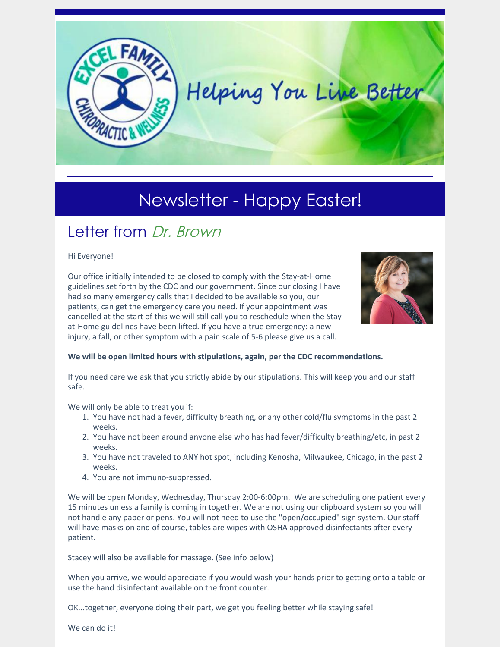

# Newsletter - Happy Easter!

# Letter from Dr. Brown

#### Hi Everyone!

Our office initially intended to be closed to comply with the Stay-at-Home guidelines set forth by the CDC and our government. Since our closing I have had so many emergency calls that I decided to be available so you, our patients, can get the emergency care you need. If your appointment was cancelled at the start of this we will still call you to reschedule when the Stayat-Home guidelines have been lifted. If you have a true emergency: a new injury, a fall, or other symptom with a pain scale of 5-6 please give us a call.



**We will be open limited hours with stipulations, again, per the CDC recommendations.**

If you need care we ask that you strictly abide by our stipulations. This will keep you and our staff safe.

We will only be able to treat you if:

- 1. You have not had a fever, difficulty breathing, or any other cold/flu symptoms in the past 2 weeks.
- 2. You have not been around anyone else who has had fever/difficulty breathing/etc, in past 2 weeks.
- 3. You have not traveled to ANY hot spot, including Kenosha, Milwaukee, Chicago, in the past 2 weeks.
- 4. You are not immuno-suppressed.

We will be open Monday, Wednesday, Thursday 2:00-6:00pm. We are scheduling one patient every 15 minutes unless a family is coming in together. We are not using our clipboard system so you will not handle any paper or pens. You will not need to use the "open/occupied" sign system. Our staff will have masks on and of course, tables are wipes with OSHA approved disinfectants after every patient.

Stacey will also be available for massage. (See info below)

When you arrive, we would appreciate if you would wash your hands prior to getting onto a table or use the hand disinfectant available on the front counter.

OK...together, everyone doing their part, we get you feeling better while staying safe!

We can do it!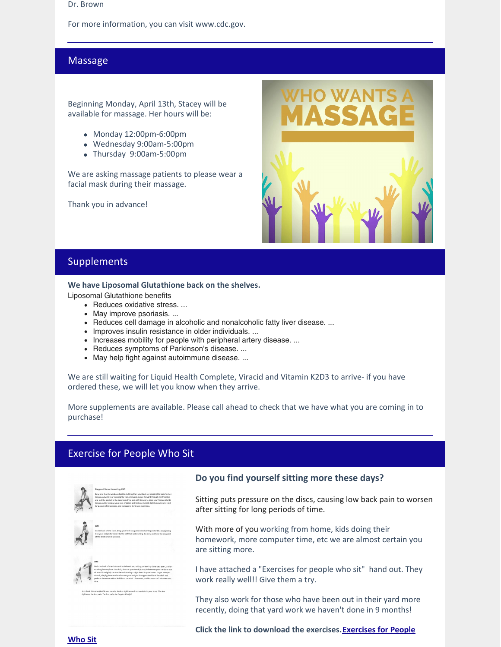#### Dr. Brown

For more information, you can visit www.cdc.gov.

## Massage

Beginning Monday, April 13th, Stacey will be available for massage. Her hours will be:

- Monday 12:00pm-6:00pm
- Wednesday 9:00am-5:00pm
- Thursday 9:00am-5:00pm

We are asking massage patients to please wear a facial mask during their massage.

Thank you in advance!



## Supplements

#### **We have Liposomal Glutathione back on the shelves.**

Liposomal Glutathione benefits

- Reduces oxidative stress. ...
- May improve psoriasis. ...
- Reduces cell damage in alcoholic and nonalcoholic fatty liver disease. ...
- Improves insulin resistance in older individuals. ...
- Increases mobility for people with peripheral artery disease. ...
- Reduces symptoms of Parkinson's disease. ...
- May help fight against autoimmune disease. ...

We are still waiting for Liquid Health Complete, Viracid and Vitamin K2D3 to arrive- if you have ordered these, we will let you know when they arrive.

More supplements are available. Please call ahead to check that we have what you are coming in to purchase!

# Exercise for People Who Sit



#### **Do you find yourself sitting more these days?**

Sitting puts pressure on the discs, causing low back pain to worsen after sitting for long periods of time.

With more of you working from home, kids doing their homework, more computer time, etc we are almost certain you are sitting more.

I have attached a "Exercises for people who sit" hand out. They work really well!! Give them a try.

They also work for those who have been out in their yard more recently, doing that yard work we haven't done in 9 months!

**Click the link to download the [exercises.Exercises](https://files.constantcontact.com/6675eed6701/3972b29c-26ab-4f04-8dcc-d7aa9df2117f.pdf) for People**

**Who Sit**